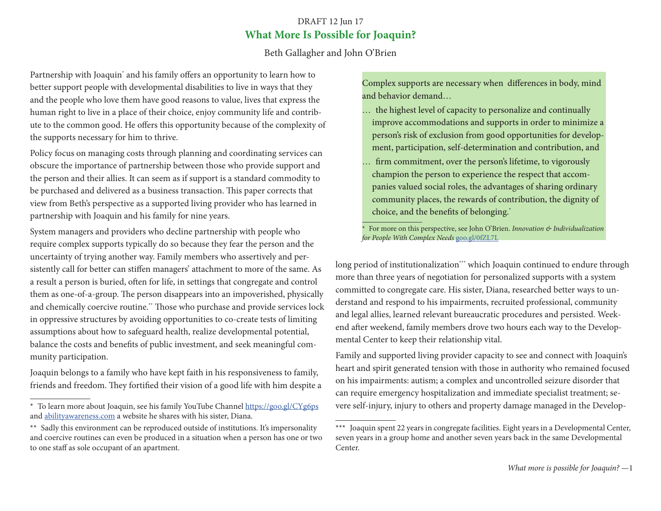## DRAFT 12 Jun 17 **What More Is Possible for Joaquin?**

Beth Gallagher and John O'Brien

Partnership with Joaquin<sup>\*</sup> and his family offers an opportunity to learn how to better support people with developmental disabilities to live in ways that they and the people who love them have good reasons to value, lives that express the human right to live in a place of their choice, enjoy community life and contribute to the common good. He offers this opportunity because of the complexity of the supports necessary for him to thrive.

Policy focus on managing costs through planning and coordinating services can obscure the importance of partnership between those who provide support and the person and their allies. It can seem as if support is a standard commodity to be purchased and delivered as a business transaction. This paper corrects that view from Beth's perspective as a supported living provider who has learned in partnership with Joaquin and his family for nine years.

System managers and providers who decline partnership with people who require complex supports typically do so because they fear the person and the uncertainty of trying another way. Family members who assertively and persistently call for better can stiffen managers' attachment to more of the same. As a result a person is buried, often for life, in settings that congregate and control them as one-of-a-group. The person disappears into an impoverished, physically and chemically coercive routine.\*\* Those who purchase and provide services lock in oppressive structures by avoiding opportunities to co-create tests of limiting assumptions about how to safeguard health, realize developmental potential, balance the costs and benefits of public investment, and seek meaningful community participation.

Joaquin belongs to a family who have kept faith in his responsiveness to family, friends and freedom. They fortified their vision of a good life with him despite a Complex supports are necessary when differences in body, mind and behavior demand…

- … the highest level of capacity to personalize and continually improve accommodations and supports in order to minimize a person's risk of exclusion from good opportunities for development, participation, self-determination and contribution, and
- … firm commitment, over the person's lifetime, to vigorously champion the person to experience the respect that accompanies valued social roles, the advantages of sharing ordinary community places, the rewards of contribution, the dignity of choice, and the benefits of belonging.\*

\* For more on this perspective, see John O'Brien. *Innovation & Individualization for People With Complex Needs* [goo.gl/0fZL7L](https://goo.gl/0fZL7L)

long period of institutionalization\*\*\* which Joaquin continued to endure through more than three years of negotiation for personalized supports with a system committed to congregate care. His sister, Diana, researched better ways to understand and respond to his impairments, recruited professional, community and legal allies, learned relevant bureaucratic procedures and persisted. Weekend after weekend, family members drove two hours each way to the Developmental Center to keep their relationship vital.

Family and supported living provider capacity to see and connect with Joaquin's heart and spirit generated tension with those in authority who remained focused on his impairments: autism; a complex and uncontrolled seizure disorder that can require emergency hospitalization and immediate specialist treatment; severe self-injury, injury to others and property damage managed in the Develop-

<sup>\*</sup> To learn more about Joaquin, see his family YouTube Channel <https://goo.gl/CYg6ps> and [abilityawareness.com](http://abilityawareness.com) a website he shares with his sister, Diana.

<sup>\*\*</sup> Sadly this environment can be reproduced outside of institutions. It's impersonality and coercive routines can even be produced in a situation when a person has one or two to one staff as sole occupant of an apartment.

<sup>\*\*\*</sup> Joaquin spent 22 years in congregate facilities. Eight years in a Developmental Center, seven years in a group home and another seven years back in the same Developmental Center.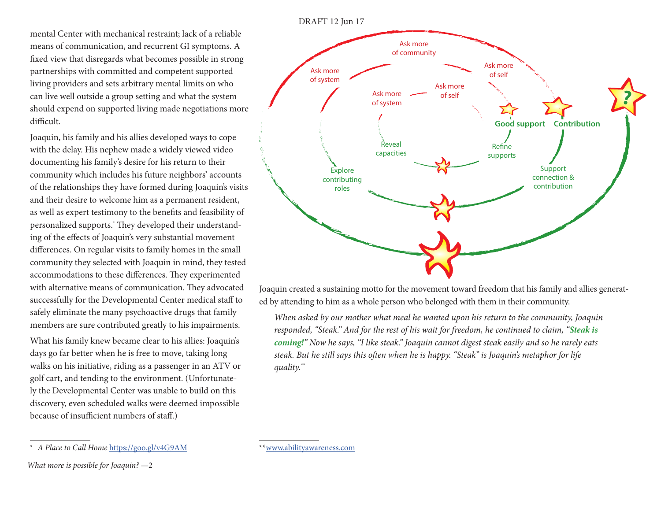mental Center with mechanical restraint; lack of a reliable means of communication, and recurrent GI symptoms. A fixed view that disregards what becomes possible in strong partnerships with committed and competent supported living providers and sets arbitrary mental limits on who can live well outside a group setting and what the system should expend on supported living made negotiations more difficult.

Joaquin, his family and his allies developed ways to cope with the delay. His nephew made a widely viewed video documenting his family's desire for his return to their community which includes his future neighbors' accounts of the relationships they have formed during Joaquin's visits and their desire to welcome him as a permanent resident, as well as expert testimony to the benefits and feasibility of personalized supports.\* They developed their understanding of the effects of Joaquin's very substantial movement differences. On regular visits to family homes in the small community they selected with Joaquin in mind, they tested accommodations to these differences. They experimented with alternative means of communication. They advocated successfully for the Developmental Center medical staff to safely eliminate the many psychoactive drugs that family members are sure contributed greatly to his impairments.

What his family knew became clear to his allies: Joaquin's days go far better when he is free to move, taking long walks on his initiative, riding as a passenger in an ATV or golf cart, and tending to the environment. (Unfortunately the Developmental Center was unable to build on this discovery, even scheduled walks were deemed impossible because of insufficient numbers of staff.)

*What more is possible for Joaquin?* —2

Joaquin created a sustaining motto for the movement toward freedom that his family and allies generated by attending to him as a whole person who belonged with them in their community.

*When asked by our mother what meal he wanted upon his return to the community, Joaquin responded, "Steak." And for the rest of his wait for freedom, he continued to claim, "Steak is coming!" Now he says, "I like steak." Joaquin cannot digest steak easily and so he rarely eats steak. But he still says this often when he is happy. "Steak" is Joaquin's metaphor for life quality.\*\**





\*\*[www.abilityawareness.com](https://www.abilityawareness.com)

<sup>\*</sup> *A Place to Call Home* <https://goo.gl/v4G9AM>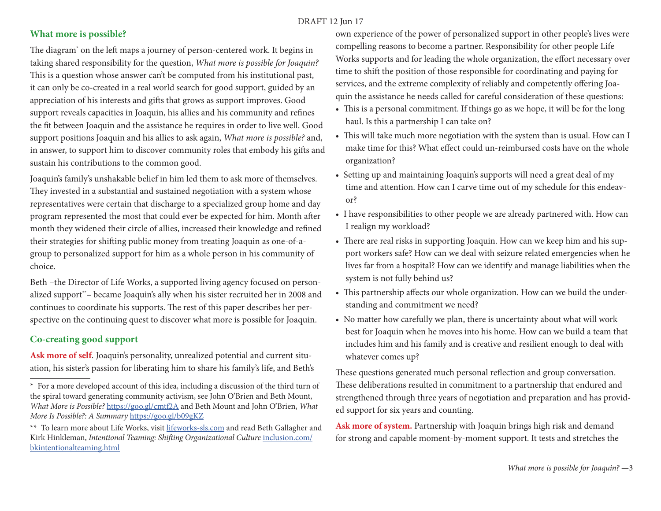#### DRAFT 12 Jun 17

### **What more is possible?**

The diagram\* on the left maps a journey of person-centered work. It begins in taking shared responsibility for the question, *What more is possible for Joaquin?* This is a question whose answer can't be computed from his institutional past, it can only be co-created in a real world search for good support, guided by an appreciation of his interests and gifts that grows as support improves. Good support reveals capacities in Joaquin, his allies and his community and refines the fit between Joaquin and the assistance he requires in order to live well. Good support positions Joaquin and his allies to ask again, *What more is possible?* and, in answer, to support him to discover community roles that embody his gifts and sustain his contributions to the common good.

Joaquin's family's unshakable belief in him led them to ask more of themselves. They invested in a substantial and sustained negotiation with a system whose representatives were certain that discharge to a specialized group home and day program represented the most that could ever be expected for him. Month after month they widened their circle of allies, increased their knowledge and refined their strategies for shifting public money from treating Joaquin as one-of-agroup to personalized support for him as a whole person in his community of choice.

Beth –the Director of Life Works, a supported living agency focused on personalized support\*\*– became Joaquin's ally when his sister recruited her in 2008 and continues to coordinate his supports. The rest of this paper describes her perspective on the continuing quest to discover what more is possible for Joaquin.

# **Co-creating good support**

**Ask more of self**. Joaquin's personality, unrealized potential and current situation, his sister's passion for liberating him to share his family's life, and Beth's own experience of the power of personalized support in other people's lives were compelling reasons to become a partner. Responsibility for other people Life Works supports and for leading the whole organization, the effort necessary over time to shift the position of those responsible for coordinating and paying for services, and the extreme complexity of reliably and competently offering Joaquin the assistance he needs called for careful consideration of these questions:

- This is a personal commitment. If things go as we hope, it will be for the long haul. Is this a partnership I can take on?
- This will take much more negotiation with the system than is usual. How can I make time for this? What effect could un-reimbursed costs have on the whole organization?
- Setting up and maintaining Joaquin's supports will need a great deal of my time and attention. How can I carve time out of my schedule for this endeavor?
- I have responsibilities to other people we are already partnered with. How can I realign my workload?
- There are real risks in supporting Joaquin. How can we keep him and his support workers safe? How can we deal with seizure related emergencies when he lives far from a hospital? How can we identify and manage liabilities when the system is not fully behind us?
- This partnership affects our whole organization. How can we build the understanding and commitment we need?
- No matter how carefully we plan, there is uncertainty about what will work best for Joaquin when he moves into his home. How can we build a team that includes him and his family and is creative and resilient enough to deal with whatever comes up?

These questions generated much personal reflection and group conversation. These deliberations resulted in commitment to a partnership that endured and strengthened through three years of negotiation and preparation and has provided support for six years and counting.

**Ask more of system.** Partnership with Joaquin brings high risk and demand for strong and capable moment-by-moment support. It tests and stretches the

<sup>\*</sup> For a more developed account of this idea, including a discussion of the third turn of the spiral toward generating community activism, see John O'Brien and Beth Mount, *What More is Possible?* <https://goo.gl/cmtf2A> and Beth Mount and John O'Brien, *What More Is Possible?: A Summary* <https://goo.gl/b09gKZ>

<sup>\*\*</sup> To learn more about Life Works, visit [lifeworks-sls.com](http://lifeworks-sls.com) and read Beth Gallagher and Kirk Hinkleman, *Intentional Teaming: Shifting Organizational Culture* [inclusion.com/](http://inclusion.com/bkintentionalteaming.html) [bkintentionalteaming.html](http://inclusion.com/bkintentionalteaming.html)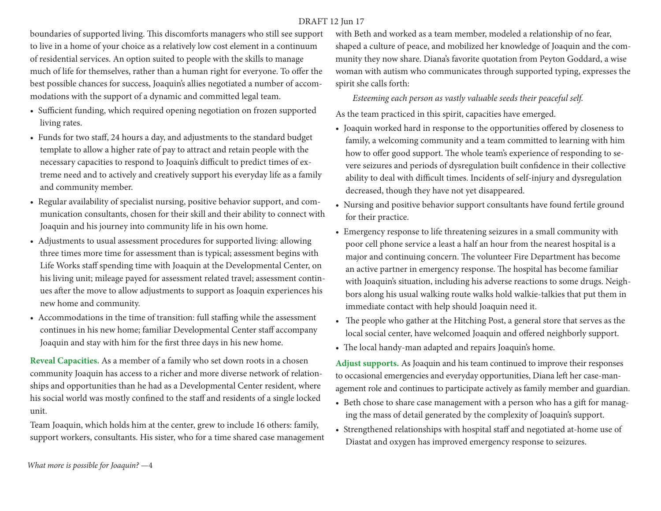## DRAFT 12 Jun 17

boundaries of supported living. This discomforts managers who still see support to live in a home of your choice as a relatively low cost element in a continuum of residential services. An option suited to people with the skills to manage much of life for themselves, rather than a human right for everyone. To offer the best possible chances for success, Joaquin's allies negotiated a number of accommodations with the support of a dynamic and committed legal team.

- Sufficient funding, which required opening negotiation on frozen supported living rates.
- Funds for two staff, 24 hours a day, and adjustments to the standard budget template to allow a higher rate of pay to attract and retain people with the necessary capacities to respond to Joaquin's difficult to predict times of extreme need and to actively and creatively support his everyday life as a family and community member.
- Regular availability of specialist nursing, positive behavior support, and communication consultants, chosen for their skill and their ability to connect with Joaquin and his journey into community life in his own home.
- Adjustments to usual assessment procedures for supported living: allowing three times more time for assessment than is typical; assessment begins with Life Works staff spending time with Joaquin at the Developmental Center, on his living unit; mileage payed for assessment related travel; assessment continues after the move to allow adjustments to support as Joaquin experiences his new home and community.
- Accommodations in the time of transition: full staffing while the assessment continues in his new home; familiar Developmental Center staff accompany Joaquin and stay with him for the first three days in his new home.

**Reveal Capacities.** As a member of a family who set down roots in a chosen community Joaquin has access to a richer and more diverse network of relationships and opportunities than he had as a Developmental Center resident, where his social world was mostly confined to the staff and residents of a single locked unit.

Team Joaquin, which holds him at the center, grew to include 16 others: family, support workers, consultants. His sister, who for a time shared case management with Beth and worked as a team member, modeled a relationship of no fear, shaped a culture of peace, and mobilized her knowledge of Joaquin and the community they now share. Diana's favorite quotation from Peyton Goddard, a wise woman with autism who communicates through supported typing, expresses the spirit she calls forth:

 *Esteeming each person as vastly valuable seeds their peaceful self.*

As the team practiced in this spirit, capacities have emerged.

- Joaquin worked hard in response to the opportunities offered by closeness to family, a welcoming community and a team committed to learning with him how to offer good support. The whole team's experience of responding to severe seizures and periods of dysregulation built confidence in their collective ability to deal with difficult times. Incidents of self-injury and dysregulation decreased, though they have not yet disappeared.
- Nursing and positive behavior support consultants have found fertile ground for their practice.
- Emergency response to life threatening seizures in a small community with poor cell phone service a least a half an hour from the nearest hospital is a major and continuing concern. The volunteer Fire Department has become an active partner in emergency response. The hospital has become familiar with Joaquin's situation, including his adverse reactions to some drugs. Neighbors along his usual walking route walks hold walkie-talkies that put them in immediate contact with help should Joaquin need it.
- The people who gather at the Hitching Post, a general store that serves as the local social center, have welcomed Joaquin and offered neighborly support.
- The local handy-man adapted and repairs Joaquin's home.

**Adjust supports.** As Joaquin and his team continued to improve their responses to occasional emergencies and everyday opportunities, Diana left her case-management role and continues to participate actively as family member and guardian.

- Beth chose to share case management with a person who has a gift for managing the mass of detail generated by the complexity of Joaquin's support.
- Strengthened relationships with hospital staff and negotiated at-home use of Diastat and oxygen has improved emergency response to seizures.

*What more is possible for Joaquin?* —4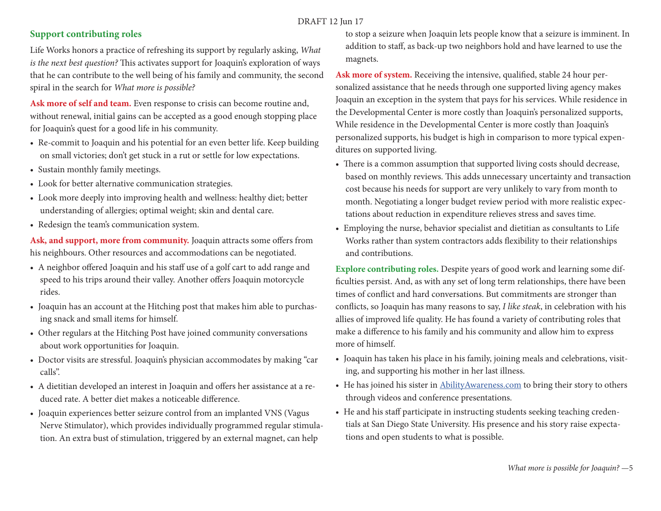#### DRAFT 12 Jun 17

### **Support contributing roles**

Life Works honors a practice of refreshing its support by regularly asking, *What is the next best question?* This activates support for Joaquin's exploration of ways that he can contribute to the well being of his family and community, the second spiral in the search for *What more is possible?*

**Ask more of self and team.** Even response to crisis can become routine and, without renewal, initial gains can be accepted as a good enough stopping place for Joaquin's quest for a good life in his community.

- Re-commit to Joaquin and his potential for an even better life. Keep building on small victories; don't get stuck in a rut or settle for low expectations.
- Sustain monthly family meetings.
- Look for better alternative communication strategies.
- Look more deeply into improving health and wellness: healthy diet; better understanding of allergies; optimal weight; skin and dental care.
- Redesign the team's communication system.

**Ask, and support, more from community.** Joaquin attracts some offers from his neighbours. Other resources and accommodations can be negotiated.

- A neighbor offered Joaquin and his staff use of a golf cart to add range and speed to his trips around their valley. Another offers Joaquin motorcycle rides.
- Joaquin has an account at the Hitching post that makes him able to purchasing snack and small items for himself.
- Other regulars at the Hitching Post have joined community conversations about work opportunities for Joaquin.
- Doctor visits are stressful. Joaquin's physician accommodates by making "car calls".
- A dietitian developed an interest in Joaquin and offers her assistance at a reduced rate. A better diet makes a noticeable difference.
- Joaquin experiences better seizure control from an implanted VNS (Vagus Nerve Stimulator), which provides individually programmed regular stimulation. An extra bust of stimulation, triggered by an external magnet, can help

to stop a seizure when Joaquin lets people know that a seizure is imminent. In addition to staff, as back-up two neighbors hold and have learned to use the magnets.

**Ask more of system.** Receiving the intensive, qualified, stable 24 hour personalized assistance that he needs through one supported living agency makes Joaquin an exception in the system that pays for his services. While residence in the Developmental Center is more costly than Joaquin's personalized supports, While residence in the Developmental Center is more costly than Joaquin's personalized supports, his budget is high in comparison to more typical expenditures on supported living.

- There is a common assumption that supported living costs should decrease, based on monthly reviews. This adds unnecessary uncertainty and transaction cost because his needs for support are very unlikely to vary from month to month. Negotiating a longer budget review period with more realistic expectations about reduction in expenditure relieves stress and saves time.
- Employing the nurse, behavior specialist and dietitian as consultants to Life Works rather than system contractors adds flexibility to their relationships and contributions.

**Explore contributing roles.** Despite years of good work and learning some difficulties persist. And, as with any set of long term relationships, there have been times of conflict and hard conversations. But commitments are stronger than conflicts, so Joaquin has many reasons to say, *I like steak*, in celebration with his allies of improved life quality. He has found a variety of contributing roles that make a difference to his family and his community and allow him to express more of himself.

- Joaquin has taken his place in his family, joining meals and celebrations, visiting, and supporting his mother in her last illness.
- He has joined his sister in [AbilityAwareness.com](http://AbilityAwareness.com) to bring their story to others through videos and conference presentations.
- He and his staff participate in instructing students seeking teaching credentials at San Diego State University. His presence and his story raise expectations and open students to what is possible.